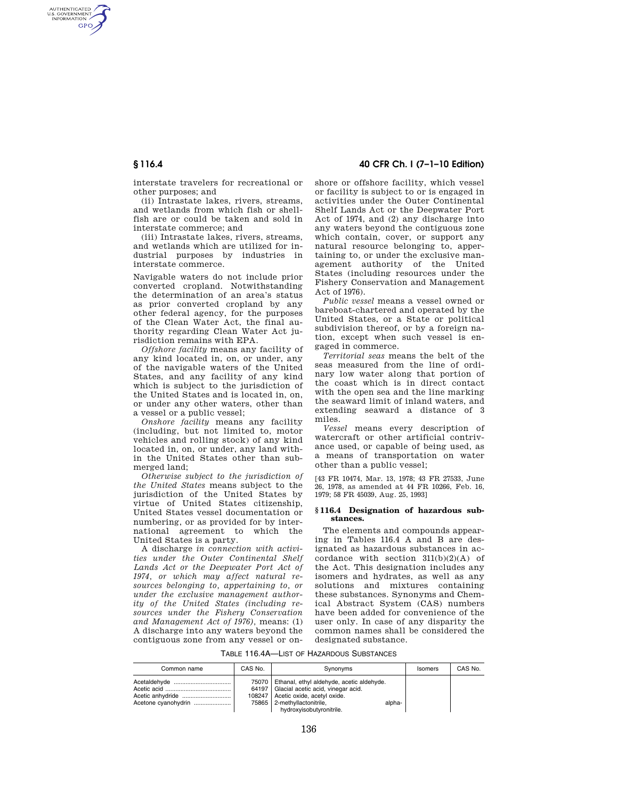AUTHENTICATED<br>U.S. GOVERNMENT<br>INFORMATION GPO

> interstate travelers for recreational or other purposes; and

> (ii) Intrastate lakes, rivers, streams, and wetlands from which fish or shellfish are or could be taken and sold in interstate commerce; and

> (iii) Intrastate lakes, rivers, streams, and wetlands which are utilized for industrial purposes by industries in interstate commerce.

> Navigable waters do not include prior converted cropland. Notwithstanding the determination of an area's status as prior converted cropland by any other federal agency, for the purposes of the Clean Water Act, the final authority regarding Clean Water Act jurisdiction remains with EPA.

> *Offshore facility* means any facility of any kind located in, on, or under, any of the navigable waters of the United States, and any facility of any kind which is subject to the jurisdiction of the United States and is located in, on, or under any other waters, other than a vessel or a public vessel;

> *Onshore facility* means any facility (including, but not limited to, motor vehicles and rolling stock) of any kind located in, on, or under, any land within the United States other than submerged land;

> *Otherwise subject to the jurisdiction of the United States* means subject to the jurisdiction of the United States by virtue of United States citizenship, United States vessel documentation or numbering, or as provided for by international agreement to which the United States is a party.

> A discharge *in connection with activities under the Outer Continental Shelf Lands Act or the Deepwater Port Act of 1974, or which may affect natural resources belonging to, appertaining to, or under the exclusive management authority of the United States (including resources under the Fishery Conservation and Management Act of 1976),* means: (1) A discharge into any waters beyond the contiguous zone from any vessel or on-

## **§ 116.4 40 CFR Ch. I (7–1–10 Edition)**

shore or offshore facility, which vessel or facility is subject to or is engaged in activities under the Outer Continental Shelf Lands Act or the Deepwater Port Act of 1974, and (2) any discharge into any waters beyond the contiguous zone which contain, cover, or support any natural resource belonging to, appertaining to, or under the exclusive management authority of the United States (including resources under the Fishery Conservation and Management Act of 1976).

*Public vessel* means a vessel owned or bareboat-chartered and operated by the United States, or a State or political subdivision thereof, or by a foreign nation, except when such vessel is engaged in commerce.

*Territorial seas* means the belt of the seas measured from the line of ordinary low water along that portion of the coast which is in direct contact with the open sea and the line marking the seaward limit of inland waters, and extending seaward a distance of 3 miles.

*Vessel* means every description of watercraft or other artificial contrivance used, or capable of being used, as a means of transportation on water other than a public vessel;

[43 FR 10474, Mar. 13, 1978; 43 FR 27533, June 26, 1978, as amended at 44 FR 10266, Feb. 16, 1979; 58 FR 45039, Aug. 25, 1993]

### **§ 116.4 Designation of hazardous substances.**

The elements and compounds appearing in Tables 116.4 A and B are designated as hazardous substances in accordance with section  $311(b)(2)(A)$  of the Act. This designation includes any isomers and hydrates, as well as any solutions and mixtures containing these substances. Synonyms and Chemical Abstract System (CAS) numbers have been added for convenience of the user only. In case of any disparity the common names shall be considered the designated substance.

TABLE 116.4A—LIST OF HAZARDOUS SUBSTANCES

| Common name         | CAS No. | Synonyms                                                                                                                                                                                           |        | Isomers | CAS No. |
|---------------------|---------|----------------------------------------------------------------------------------------------------------------------------------------------------------------------------------------------------|--------|---------|---------|
| Acetone cyanohydrin |         | 75070   Ethanal, ethyl aldehyde, acetic aldehyde.<br>64197   Glacial acetic acid, vinegar acid.<br>108247 Acetic oxide, acetyl oxide.<br>75865   2-methyllactonitrile,<br>hydroxyisobutyronitrile. | alpha- |         |         |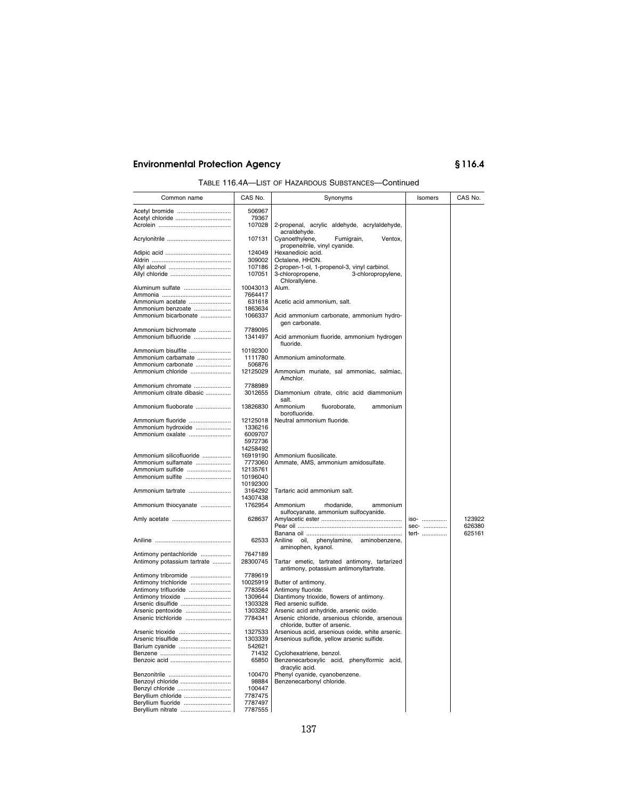| TABLE 116.4A-LIST OF HAZARDOUS SUBSTANCES-Continued |
|-----------------------------------------------------|
|-----------------------------------------------------|

| Common name                             | CAS No.             | Synonyms                                               | Isomers | CAS No. |
|-----------------------------------------|---------------------|--------------------------------------------------------|---------|---------|
| Acetyl bromide                          | 506967              |                                                        |         |         |
| Acetyl chloride                         | 79367               |                                                        |         |         |
|                                         | 107028              | 2-propenal, acrylic aldehyde, acrylaldehyde,           |         |         |
|                                         |                     | acraldehyde.                                           |         |         |
|                                         | 107131              | Cyanoethylene,<br>Fumigrain,<br>Ventox,                |         |         |
|                                         | 124049              | propeneitrile, vinyl cyanide.<br>Hexanedioic acid.     |         |         |
|                                         | 309002              | Octalene, HHDN.                                        |         |         |
|                                         | 107186              | 2-propen-1-ol, 1-propenol-3, vinyl carbinol.           |         |         |
|                                         | 107051              | 3-chloropropene,<br>3-chloropropylene,                 |         |         |
|                                         |                     | Chlorallylene.                                         |         |         |
| Aluminum sulfate                        | 10043013            | Alum.                                                  |         |         |
|                                         | 7664417             |                                                        |         |         |
| Ammonium acetate                        | 631618              | Acetic acid ammonium, salt.                            |         |         |
| Ammonium benzoate                       | 1863634             |                                                        |         |         |
| Ammonium bicarbonate                    | 1066337             | Acid ammonium carbonate, ammonium hydro-               |         |         |
|                                         |                     | gen carbonate.                                         |         |         |
| Ammonium bichromate                     | 7789095             |                                                        |         |         |
| Ammonium bifluoride                     | 1341497             | Acid ammonium fluoride, ammonium hydrogen              |         |         |
|                                         |                     | fluoride.                                              |         |         |
| Ammonium bisulfite                      | 10192300            |                                                        |         |         |
| Ammonium carbamate                      | 1111780             | Ammonium aminoformate.                                 |         |         |
| Ammonium carbonate                      | 506876              |                                                        |         |         |
| Ammonium chloride                       | 12125029            | Ammonium muriate, sal ammoniac, salmiac,               |         |         |
|                                         |                     | Amchlor.                                               |         |         |
| Ammonium chromate                       | 7788989             |                                                        |         |         |
| Ammonium citrate dibasic                | 3012655             | Diammonium citrate, citric acid diammonium             |         |         |
|                                         |                     | salt.                                                  |         |         |
| Ammonium fluoborate                     | 13826830            | Ammonium<br>fluoroborate,<br>ammonium<br>borofluoride. |         |         |
|                                         |                     |                                                        |         |         |
| Ammonium fluoride<br>Ammonium hydroxide | 12125018<br>1336216 | Neutral ammonium fluoride.                             |         |         |
| Ammonium oxalate                        | 6009707             |                                                        |         |         |
|                                         | 5972736             |                                                        |         |         |
|                                         | 14258492            |                                                        |         |         |
| Ammonium silicofluoride                 | 16919190            | Ammonium fluosilicate.                                 |         |         |
| Ammonium sulfamate                      | 7773060             | Ammate, AMS, ammonium amidosulfate.                    |         |         |
| Ammonium sulfide                        | 12135761            |                                                        |         |         |
| Ammonium sulfite                        | 10196040            |                                                        |         |         |
|                                         | 10192300            |                                                        |         |         |
| Ammonium tartrate                       | 3164292             | Tartaric acid ammonium salt.                           |         |         |
|                                         | 14307438            |                                                        |         |         |
| Ammonium thiocyanate                    | 1762954             | Ammonium<br>rhodanide,<br>ammonium                     |         |         |
|                                         |                     | sulfocyanate, ammonium sulfocyanide.                   |         |         |
|                                         | 628637              |                                                        | iso-    | 123922  |
|                                         |                     |                                                        | sec-    | 626380  |
|                                         |                     |                                                        | tert-   | 625161  |
|                                         | 62533               | Aniline<br>oil, phenylamine, aminobenzene,             |         |         |
|                                         |                     | aminophen, kyanol.                                     |         |         |
| Antimony pentachloride                  | 7647189             |                                                        |         |         |
| Antimony potassium tartrate             | 28300745            | Tartar emetic, tartrated antimony, tartarized          |         |         |
|                                         |                     | antimony, potassium antimonyltartrate.                 |         |         |
| Antimony tribromide                     | 7789619             |                                                        |         |         |
| Antimony trichloride                    | 10025919            | Butter of antimony.                                    |         |         |
| Antimony trifluoride                    | 7783564             | Antimony fluoride.                                     |         |         |
| Antimony trioxide                       | 1309644             | Diantimony trioxide, flowers of antimony.              |         |         |
| Arsenic disulfide                       | 1303328             | Red arsenic sulfide.                                   |         |         |
| Arsenic pentoxide                       | 1303282             | Arsenic acid anhydride, arsenic oxide.                 |         |         |
| Arsenic trichloride                     | 7784341             | Arsenic chloride, arsenious chloride, arsenous         |         |         |
|                                         |                     | chloride, butter of arsenic.                           |         |         |
| Arsenic trioxide                        | 1327533<br>1303339  | Arsenious acid, arsenious oxide, white arsenic.        |         |         |
| Arsenic trisulfide                      | 542621              | Arsenious sulfide, yellow arsenic sulfide.             |         |         |
| Barium cyanide                          | 71432               | Cyclohexatriene, benzol.                               |         |         |
|                                         | 65850               | Benzenecarboxylic acid, phenylformic acid,             |         |         |
|                                         |                     | dracylic acid.                                         |         |         |
|                                         | 100470              | Phenyl cyanide, cyanobenzene.                          |         |         |
| Benzoyl chloride                        | 98884               | Benzenecarbonyl chloride.                              |         |         |
| Benzyl chloride                         | 100447              |                                                        |         |         |
| Beryllium chloride                      | 7787475             |                                                        |         |         |
| Beryllium fluoride                      | 7787497             |                                                        |         |         |
| Beryllium nitrate                       | 7787555             |                                                        |         |         |
|                                         |                     |                                                        |         |         |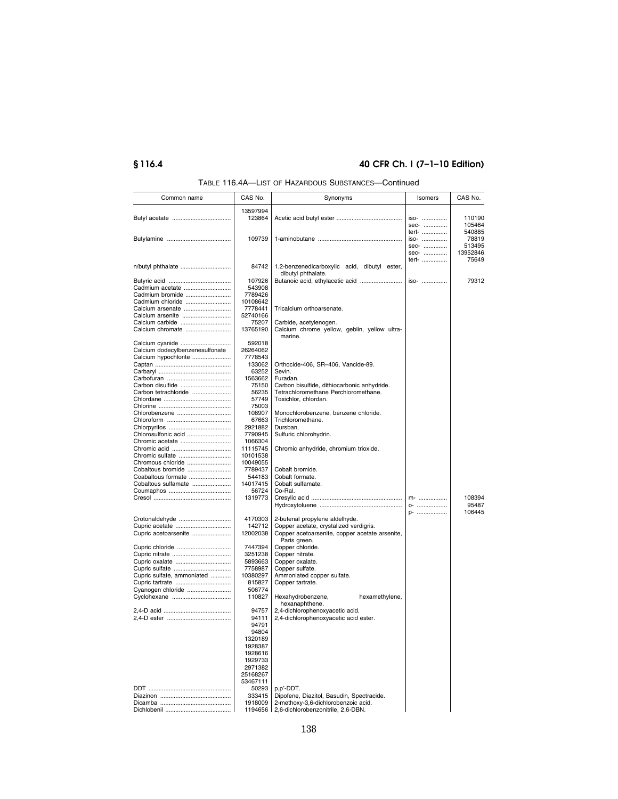# **§ 116.4 40 CFR Ch. I (7–1–10 Edition)**

| Common name                            | CAS No.  | Synonyms                                                           | Isomers | CAS No.  |
|----------------------------------------|----------|--------------------------------------------------------------------|---------|----------|
|                                        | 13597994 |                                                                    |         |          |
|                                        | 123864   |                                                                    | iso-    | 110190   |
|                                        |          |                                                                    | sec-    | 105464   |
|                                        |          |                                                                    | tert-   | 540885   |
|                                        | 109739   |                                                                    | iso-    | 78819    |
|                                        |          |                                                                    | sec-    | 513495   |
|                                        |          |                                                                    | sec-    | 13952846 |
|                                        |          |                                                                    | tert-   | 75649    |
|                                        | 84742    |                                                                    |         |          |
| n/butyl phthalate                      |          | 1.2-benzenedicarboxylic acid, dibutyl ester,<br>dibutyl phthalate. |         |          |
|                                        |          |                                                                    |         |          |
|                                        | 107926   | Butanoic acid, ethylacetic acid                                    | iso-    | 79312    |
| Cadmium acetate                        | 543908   |                                                                    |         |          |
| Cadmium bromide                        | 7789426  |                                                                    |         |          |
| Cadmium chloride                       | 10108642 |                                                                    |         |          |
| Calcium arsenate                       | 7778441  | Tricalcium orthoarsenate.                                          |         |          |
| Calcium arsenite                       | 52740166 |                                                                    |         |          |
| Calcium carbide                        | 75207    | Carbide, acetylenogen.                                             |         |          |
| Calcium chromate                       | 13765190 | Calcium chrome yellow, geblin, yellow ultra-                       |         |          |
|                                        |          | marine.                                                            |         |          |
| Calcium cyanide                        | 592018   |                                                                    |         |          |
| Calcium dodecylbenzenesulfonate        | 26264062 |                                                                    |         |          |
| Calcium hypochlorite                   | 7778543  |                                                                    |         |          |
|                                        | 133062   | Orthocide-406, SR-406, Vancide-89.                                 |         |          |
|                                        | 63252    | Sevin.                                                             |         |          |
|                                        | 1563662  | Furadan.                                                           |         |          |
| Carbon disulfide                       | 75150    | Carbon bisulfide, dithiocarbonic anhydride.                        |         |          |
| Carbon tetrachloride                   | 56235    | Tetrachloromethane Perchloromethane.                               |         |          |
|                                        | 57749    | Toxichlor, chlordan.                                               |         |          |
|                                        | 75003    |                                                                    |         |          |
| Chlorobenzene                          | 108907   | Monochlorobenzene, benzene chloride.                               |         |          |
|                                        | 67663    | Trichloromethane.                                                  |         |          |
|                                        | 2921882  | Dursban.                                                           |         |          |
|                                        | 7790945  |                                                                    |         |          |
| Chlorosulfonic acid<br>Chromic acetate | 1066304  | Sulfuric chlorohydrin.                                             |         |          |
|                                        |          |                                                                    |         |          |
| Chromic acid                           | 11115745 | Chromic anhydride, chromium trioxide.                              |         |          |
| Chromic sulfate                        | 10101538 |                                                                    |         |          |
| Chromous chloride                      | 10049055 |                                                                    |         |          |
| Cobaltous bromide                      | 7789437  | Cobalt bromide.                                                    |         |          |
| Coabaltous formate                     | 544183   | Cobalt formate.                                                    |         |          |
| Cobaltous sulfamate                    | 14017415 | Cobalt sulfamate.                                                  |         |          |
|                                        | 56724    | Co-Ral.                                                            |         |          |
|                                        | 1319773  |                                                                    | $m$ -   | 108394   |
|                                        |          |                                                                    | 0-      | 95487    |
|                                        |          |                                                                    | p-      | 106445   |
| Crotonaldehyde                         | 4170303  | 2-butenal propylene aldelhyde.                                     |         |          |
|                                        | 142712   | Copper acetate, crystalized verdigris.                             |         |          |
| Cupric acetoarsenite                   | 12002038 | Copper acetoarsenite, copper acetate arsenite,                     |         |          |
|                                        |          | Paris green.                                                       |         |          |
| Cupric chloride                        | 7447394  | Copper chloride.                                                   |         |          |
|                                        | 3251238  | Copper nitrate.                                                    |         |          |
|                                        | 5893663  | Copper oxalate.                                                    |         |          |
| Cupric oxalate                         |          |                                                                    |         |          |
| Cupric sulfate                         | 7758987  | Copper sulfate.                                                    |         |          |
| Cupric sulfate, ammoniated             | 10380297 | Ammoniated copper sulfate.                                         |         |          |
|                                        | 815827   | Copper tartrate.                                                   |         |          |
| Cyanogen chloride                      | 506774   |                                                                    |         |          |
| Cyclohexane                            | 110827   | Hexahydrobenzene,<br>hexamethylene,                                |         |          |
|                                        |          | hexanaphthene.                                                     |         |          |
|                                        | 94757    | 2,4-dichlorophenoxyacetic acid.                                    |         |          |
|                                        | 94111    | 2,4-dichlorophenoxyacetic acid ester.                              |         |          |
|                                        | 94791    |                                                                    |         |          |
|                                        | 94804    |                                                                    |         |          |
|                                        | 1320189  |                                                                    |         |          |
|                                        | 1928387  |                                                                    |         |          |
|                                        | 1928616  |                                                                    |         |          |
|                                        | 1929733  |                                                                    |         |          |
|                                        | 2971382  |                                                                    |         |          |
|                                        |          |                                                                    |         |          |
|                                        | 25168267 |                                                                    |         |          |
|                                        | 53467111 |                                                                    |         |          |
|                                        | 50293    | p,p'-DDT.                                                          |         |          |
|                                        | 333415   | Dipofene, Diazitol, Basudin, Spectracide.                          |         |          |
|                                        | 1918009  | 2-methoxy-3,6-dichlorobenzoic acid.                                |         |          |
|                                        |          | 1194656 2,6-dichlorobenzonitrile, 2,6-DBN.                         |         |          |

TABLE 116.4A—LIST OF HAZARDOUS SUBSTANCES—Continued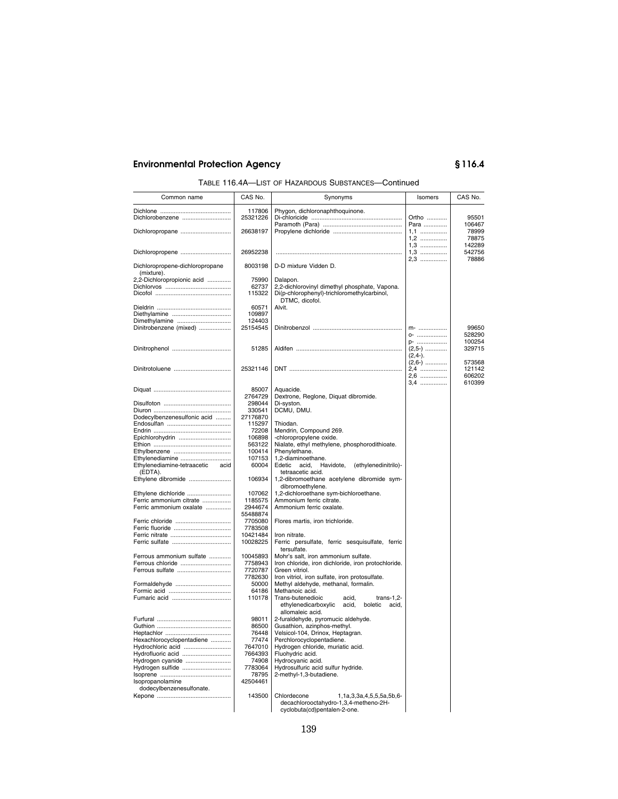| TABLE 116.4A-LIST OF HAZARDOUS SUBSTANCES-Continued |
|-----------------------------------------------------|
|-----------------------------------------------------|

| Common name                                         | CAS No.             | Synonyms                                                                                                             | Isomers                       | CAS No.                    |
|-----------------------------------------------------|---------------------|----------------------------------------------------------------------------------------------------------------------|-------------------------------|----------------------------|
| Dichlorobenzene                                     | 117806<br>25321226  | Phygon, dichloronaphthoquinone.                                                                                      | Ortho                         | 95501                      |
| Dichloropropane                                     | 26638197            |                                                                                                                      | Para<br>1,1<br>$1,2$          | 106467<br>78999<br>78875   |
| Dichloropropene                                     | 26952238            |                                                                                                                      | $1,3$<br>$1,3$<br>2,3         | 142289<br>542756<br>78886  |
| Dichloropropene-dichloropropane<br>(mixture).       | 8003198             | D-D mixture Vidden D.                                                                                                |                               |                            |
| 2,2-Dichloropropionic acid                          | 75990               | Dalapon.                                                                                                             |                               |                            |
|                                                     | 62737<br>115322     | 2,2-dichlorovinyl dimethyl phosphate, Vapona.<br>Di(p-chlorophenyl)-trichloromethylcarbinol,<br>DTMC, dicofol.       |                               |                            |
|                                                     | 60571               | Alvit.                                                                                                               |                               |                            |
|                                                     | 109897              |                                                                                                                      |                               |                            |
| Dimethylamine                                       | 124403<br>25154545  |                                                                                                                      | m-                            | 99650                      |
| Dinitrobenzene (mixed)                              |                     |                                                                                                                      | 0-                            | 528290                     |
|                                                     | 51285               |                                                                                                                      | p-<br>$(2,5-)$<br>$(2, 4-)$ . | 100254<br>329715           |
|                                                     | 25321146            |                                                                                                                      | $(2,6-)$<br>2,4<br>2,6        | 573568<br>121142<br>606202 |
|                                                     | 85007               | Aquacide.                                                                                                            | 3,4                           | 610399                     |
|                                                     | 2764729             | Dextrone, Reglone, Diquat dibromide.                                                                                 |                               |                            |
|                                                     | 298044              | Di-syston.                                                                                                           |                               |                            |
| Dodecylbenzenesulfonic acid                         | 330541<br>27176870  | DCMU, DMU.                                                                                                           |                               |                            |
|                                                     | 115297              | Thiodan.                                                                                                             |                               |                            |
|                                                     | 72208               | Mendrin, Compound 269.                                                                                               |                               |                            |
| Epichlorohydrin                                     | 106898              | -chloropropylene oxide.                                                                                              |                               |                            |
|                                                     | 563122              | Nialate, ethyl methylene, phosphorodithioate.                                                                        |                               |                            |
|                                                     | 100414              | Phenylethane.                                                                                                        |                               |                            |
| Ethylenediamine<br>Ethylenediamine-tetraacetic acid | 107153<br>60004     | 1,2-diaminoethane.<br>Edetic<br>acid,<br>Havidote,<br>(ethylenedinitrilo)-                                           |                               |                            |
| (EDTA).<br>Ethylene dibromide                       | 106934              | tetraacetic acid.<br>1,2-dibromoethane acetylene dibromide sym-                                                      |                               |                            |
| Ethylene dichloride                                 | 107062              | dibromoethylene.<br>1,2-dichloroethane sym-bichloroethane.                                                           |                               |                            |
| Ferric ammonium citrate                             | 1185575             | Ammonium ferric citrate.                                                                                             |                               |                            |
| Ferric ammonium oxalate                             | 2944674<br>55488874 | Ammonium ferric oxalate.                                                                                             |                               |                            |
| Ferric chloride                                     | 7705080             | Flores martis, iron trichloride.                                                                                     |                               |                            |
|                                                     | 7783508<br>10421484 | Iron nitrate.                                                                                                        |                               |                            |
|                                                     | 10028225            | Ferric persulfate, ferric sesquisulfate, ferric<br>tersulfate.                                                       |                               |                            |
| Ferrous ammonium sulfate                            | 10045893<br>7758943 | Mohr's salt, iron ammonium sulfate.<br>Iron chloride, iron dichloride, iron protochloride.                           |                               |                            |
| Ferrous sulfate                                     | 7720787             | Green vitriol.                                                                                                       |                               |                            |
|                                                     | 7782630             | Iron vitriol, iron sulfate, iron protosulfate.                                                                       |                               |                            |
| Formaldehyde                                        | 50000               | Methyl aldehyde, methanal, formalin.<br>Methanoic acid.                                                              |                               |                            |
|                                                     | 64186<br>110178     | Trans-butenedioic<br>$trans-1,2$ -<br>acid,<br>ethylenedicarboxylic<br>acid,<br>boletic<br>acid.<br>allomaleic acid. |                               |                            |
|                                                     | 98011               | 2-furaldehyde, pyromucic aldehyde.                                                                                   |                               |                            |
|                                                     | 86500               | Gusathion, azinphos-methyl.                                                                                          |                               |                            |
|                                                     | 76448               | Velsicol-104, Drinox, Heptagran.                                                                                     |                               |                            |
| Hexachlorocyclopentadiene                           | 77474               | Perchlorocyclopentadiene.                                                                                            |                               |                            |
| Hydrochloric acid<br>Hydrofluoric acid              | 7647010<br>7664393  | Hydrogen chloride, muriatic acid.<br>Fluohydric acid.                                                                |                               |                            |
| Hydrogen cyanide                                    | 74908               | Hydrocyanic acid.                                                                                                    |                               |                            |
| Hydrogen sulfide                                    | 7783064             | Hydrosulfuric acid sulfur hydride.                                                                                   |                               |                            |
|                                                     | 78795               | 2-methyl-1,3-butadiene.                                                                                              |                               |                            |
| Isopropanolamine                                    | 42504461            |                                                                                                                      |                               |                            |
| dodecylbenzenesulfonate.                            |                     |                                                                                                                      |                               |                            |
|                                                     | 143500              | Chlordecone<br>1,1a,3,3a,4,5,5,5a,5b,6-<br>decachlorooctahydro-1,3,4-metheno-2H-<br>cyclobuta(cd)pentalen-2-one.     |                               |                            |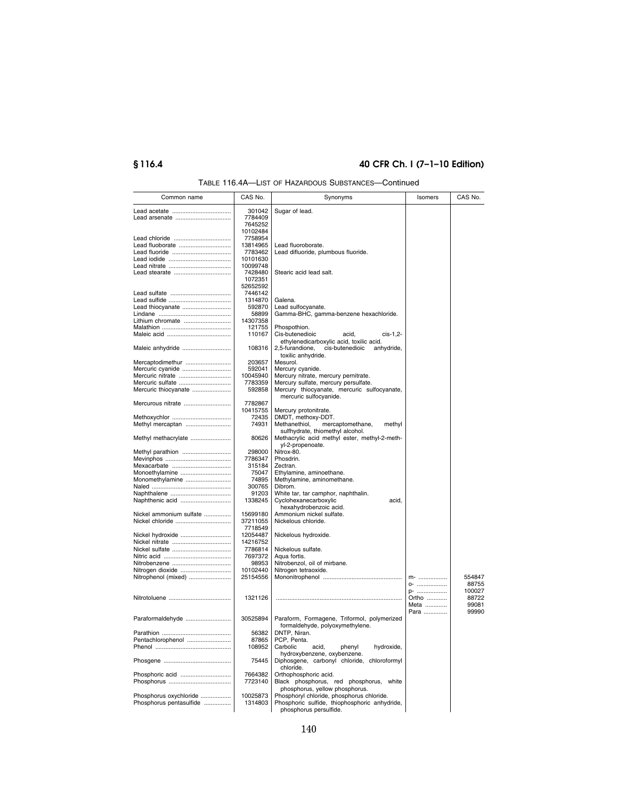# **§ 116.4 40 CFR Ch. I (7–1–10 Edition)**

| TABLE 116.4A—LIST OF HAZARDOUS SUBSTANCES—Continued |
|-----------------------------------------------------|
|-----------------------------------------------------|

| Common name                          | CAS No.            | Synonyms                                                 | Isomers | CAS No. |
|--------------------------------------|--------------------|----------------------------------------------------------|---------|---------|
|                                      | 301042             | Sugar of lead.                                           |         |         |
| Lead arsenate                        | 7784409            |                                                          |         |         |
|                                      | 7645252            |                                                          |         |         |
|                                      | 10102484           |                                                          |         |         |
|                                      | 7758954            |                                                          |         |         |
| Lead fluoborate                      | 13814965           | Lead fluoroborate.                                       |         |         |
|                                      | 7783462            | Lead difluoride, plumbous fluoride.                      |         |         |
|                                      | 10101630           |                                                          |         |         |
|                                      | 10099748           |                                                          |         |         |
|                                      | 7428480<br>1072351 | Stearic acid lead salt.                                  |         |         |
|                                      | 52652592           |                                                          |         |         |
|                                      | 7446142            |                                                          |         |         |
|                                      | 1314870            | Galena.                                                  |         |         |
|                                      | 592870             | Lead sulfocyanate.                                       |         |         |
|                                      | 58899              | Gamma-BHC, gamma-benzene hexachloride.                   |         |         |
| Lithium chromate                     | 14307358           |                                                          |         |         |
|                                      | 121755             | Phospothion.                                             |         |         |
|                                      | 110167             | Cis-butenedioic<br>cis-1,2-<br>acid,                     |         |         |
|                                      |                    | ethylenedicarboxylic acid, toxilic acid.                 |         |         |
| Maleic anhydride                     | 108316             | 2,5-furandione, cis-butenedioic<br>anhydride,            |         |         |
|                                      |                    | toxilic anhydride.                                       |         |         |
| Mercaptodimethur<br>Mercuric cyanide | 203657<br>592041   | Mesurol.<br>Mercury cyanide.                             |         |         |
| Mercuric nitrate                     | 10045940           | Mercury nitrate, mercury pernitrate.                     |         |         |
| Mercuric sulfate                     | 7783359            | Mercury sulfate, mercury persulfate.                     |         |         |
| Mercuric thiocyanate                 | 592858             | Mercury thiocyanate, mercuric sulfocyanate,              |         |         |
|                                      |                    | mercuric sulfocyanide.                                   |         |         |
| Mercurous nitrate                    | 7782867            |                                                          |         |         |
|                                      | 10415755           | Mercury protonitrate.                                    |         |         |
|                                      | 72435              | DMDT, methoxy-DDT.                                       |         |         |
| Methyl mercaptan                     | 74931              | mercaptomethane,<br>methyl<br>Methanethiol,              |         |         |
|                                      |                    | sulfhydrate, thiomethyl alcohol.                         |         |         |
| Methyl methacrylate                  | 80626              | Methacrylic acid methyl ester, methyl-2-meth-            |         |         |
|                                      | 298000             | yl-2-propenoate.<br>Nitrox-80.                           |         |         |
| Methyl parathion                     | 7786347            | Phosdrin.                                                |         |         |
|                                      | 315184             | Zectran.                                                 |         |         |
| Monoethylamine                       | 75047              | Ethylamine, aminoethane.                                 |         |         |
| Monomethylamine                      | 74895              | Methylamine, aminomethane.                               |         |         |
|                                      | 300765             | Dibrom.                                                  |         |         |
|                                      | 91203              | White tar, tar camphor, naphthalin.                      |         |         |
| Naphthenic acid                      | 1338245            | Cyclohexanecarboxylic<br>acid,                           |         |         |
|                                      |                    | hexahydrobenzoic acid.                                   |         |         |
| Nickel ammonium sulfate              | 15699180           | Ammonium nickel sulfate.                                 |         |         |
| Nickel chloride                      | 37211055           | Nickelous chloride.                                      |         |         |
|                                      | 7718549            |                                                          |         |         |
| Nickel hydroxide                     | 12054487           | Nickelous hydroxide.                                     |         |         |
|                                      | 14216752           | Nickelous sulfate.                                       |         |         |
|                                      | 7786814<br>7697372 | Aqua fortis.                                             |         |         |
|                                      | 98953              | Nitrobenzol, oil of mirbane.                             |         |         |
| Nitrogen dioxide                     | 10102440           | Nitrogen tetraoxide.                                     |         |         |
| Nitrophenol (mixed)                  | 25154556           |                                                          | $m$ -   | 554847  |
|                                      |                    |                                                          | 0-      | 88755   |
|                                      |                    |                                                          | p-      | 100027  |
|                                      | 1321126            |                                                          | Ortho   | 88722   |
|                                      |                    |                                                          | Meta    | 99081   |
|                                      |                    |                                                          | Para    | 99990   |
| Paraformaldehyde                     | 30525894           | Paraform, Formagene, Triformol, polymerized              |         |         |
|                                      |                    | formaldehyde, polyoxymethylene.                          |         |         |
|                                      | 56382              | DNTP, Niran.                                             |         |         |
| Pentachlorophenol                    | 87865<br>108952    | PCP, Penta.<br>Carbolic<br>acid,<br>phenyl<br>hydroxide, |         |         |
|                                      |                    | hydroxybenzene, oxybenzene.                              |         |         |
|                                      | 75445              | Diphosgene, carbonyl chloride, chloroformyl              |         |         |
|                                      |                    | chloride.                                                |         |         |
| Phosphoric acid                      | 7664382            | Orthophosphoric acid.                                    |         |         |
|                                      | 7723140            | Black phosphorus, red phosphorus, white                  |         |         |
|                                      |                    | phosphorus, yellow phosphorus.                           |         |         |
| Phosphorus oxychloride               | 10025873           | Phosphoryl chloride, phosphorus chloride.                |         |         |
| Phosphorus pentasulfide              | 1314803            | Phosphoric sulfide, thiophosphoric anhydride,            |         |         |
|                                      |                    | phosphorus persulfide.                                   |         |         |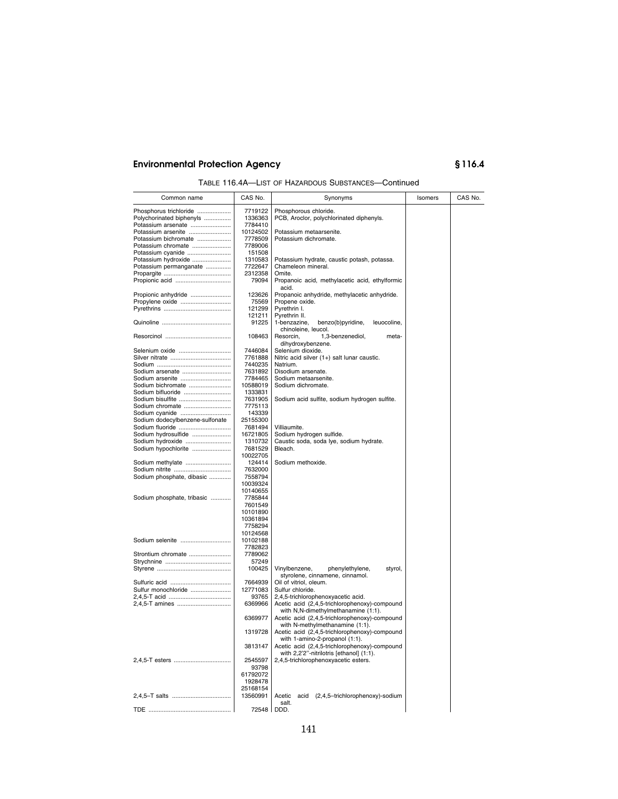| TABLE 116.4A-LIST OF HAZARDOUS SUBSTANCES-Continued |
|-----------------------------------------------------|
|-----------------------------------------------------|

| Common name                             | CAS No.             | Synonyms                                                                         | Isomers | CAS No. |
|-----------------------------------------|---------------------|----------------------------------------------------------------------------------|---------|---------|
| Phosphorus trichloride                  | 7719122             | Phosphorous chloride.                                                            |         |         |
| Polychorinated biphenyls                | 1336363             | PCB, Aroclor, polychlorinated diphenyls.                                         |         |         |
| Potassium arsenate                      | 7784410             |                                                                                  |         |         |
| Potassium arsenite                      | 10124502            | Potassium metaarsenite.                                                          |         |         |
| Potassium bichromate                    | 7778509             | Potassium dichromate.                                                            |         |         |
| Potassium chromate                      | 7789006             |                                                                                  |         |         |
| Potassium cyanide                       | 151508              |                                                                                  |         |         |
| Potassium hydroxide                     | 1310583             | Potassium hydrate, caustic potash, potassa.                                      |         |         |
| Potassium permanganate                  | 7722647             | Chameleon mineral.                                                               |         |         |
|                                         | 2312358             | Omite.                                                                           |         |         |
| Propionic acid                          | 79094               | Propanoic acid, methylacetic acid, ethylformic<br>acid.                          |         |         |
| Propionic anhydride                     | 123626              | Propanoic anhydride, methylacetic anhydride.                                     |         |         |
| Propylene oxide                         | 75569               | Propene oxide.                                                                   |         |         |
|                                         | 121299              | Pyrethrin I.                                                                     |         |         |
|                                         | 121211              | Pyrethrin II.                                                                    |         |         |
|                                         | 91225               | 1-benzazine,<br>benzo(b)pyridine,<br>leuocoline,                                 |         |         |
|                                         |                     | chinoleine, leucol.                                                              |         |         |
|                                         | 108463              | Resorcin,<br>1,3-benzenediol,<br>meta-                                           |         |         |
|                                         |                     | dihydroxybenzene.                                                                |         |         |
| Selenium oxide                          | 7446084             | Selenium dioxide.                                                                |         |         |
|                                         | 7761888             | Nitric acid silver (1+) salt lunar caustic.                                      |         |         |
| Sodium arsenate                         | 7440235<br>7631892  | Natrium.<br>Disodium arsenate.                                                   |         |         |
| Sodium arsenite                         | 7784465             | Sodium metaarsenite.                                                             |         |         |
| Sodium bichromate                       | 10588019            | Sodium dichromate.                                                               |         |         |
| Sodium bifluoride                       | 1333831             |                                                                                  |         |         |
| Sodium bisulfite                        | 7631905             | Sodium acid sulfite, sodium hydrogen sulfite.                                    |         |         |
| Sodium chromate                         | 7775113             |                                                                                  |         |         |
| Sodium cyanide                          | 143339              |                                                                                  |         |         |
| Sodium dodecylbenzene-sulfonate         | 25155300            |                                                                                  |         |         |
| Sodium fluoride                         | 7681494             | Villiaumite.                                                                     |         |         |
| Sodium hydrosulfide<br>Sodium hydroxide | 16721805<br>1310732 | Sodium hydrogen sulfide.<br>Caustic soda, soda lye, sodium hydrate.              |         |         |
| Sodium hypochlorite                     | 7681529             | Bleach.                                                                          |         |         |
|                                         | 10022705            |                                                                                  |         |         |
| Sodium methylate                        | 124414              | Sodium methoxide.                                                                |         |         |
|                                         | 7632000             |                                                                                  |         |         |
| Sodium phosphate, dibasic               | 7558794             |                                                                                  |         |         |
|                                         | 10039324            |                                                                                  |         |         |
| Sodium phosphate, tribasic              | 10140655<br>7785844 |                                                                                  |         |         |
|                                         | 7601549             |                                                                                  |         |         |
|                                         | 10101890            |                                                                                  |         |         |
|                                         | 10361894            |                                                                                  |         |         |
|                                         | 7758294             |                                                                                  |         |         |
|                                         | 10124568            |                                                                                  |         |         |
| Sodium selenite                         | 10102188            |                                                                                  |         |         |
| Strontium chromate                      | 7782823<br>7789062  |                                                                                  |         |         |
|                                         | 57249               |                                                                                  |         |         |
|                                         | 100425              | phenylethylene,<br>Vinylbenzene,<br>styrol,                                      |         |         |
|                                         |                     | styrolene, cinnamene, cinnamol.                                                  |         |         |
|                                         | 7664939             | Oil of vitriol, oleum.                                                           |         |         |
| Sulfur monochloride                     | 12771083            | Sulfur chloride.                                                                 |         |         |
|                                         | 93765               | 2,4,5-trichlorophenoxyacetic acid.                                               |         |         |
|                                         | 6369966             | Acetic acid (2,4,5-trichlorophenoxy)-compound                                    |         |         |
|                                         |                     | with N,N-dimethylmethanamine (1:1).                                              |         |         |
|                                         | 6369977             | Acetic acid (2,4,5-trichlorophenoxy)-compound<br>with N-methylmethanamine (1:1). |         |         |
|                                         | 1319728             | Acetic acid (2,4,5-trichlorophenoxy)-compound                                    |         |         |
|                                         |                     | with 1-amino-2-propanol (1:1).                                                   |         |         |
|                                         | 3813147             | Acetic acid (2,4,5-trichlorophenoxy)-compound                                    |         |         |
|                                         |                     | with 2,2'2"-nitrilotris [ethanol] (1:1).                                         |         |         |
|                                         | 2545597             | 2,4,5-trichlorophenoxyacetic esters.                                             |         |         |
|                                         | 93798               |                                                                                  |         |         |
|                                         | 61792072            |                                                                                  |         |         |
|                                         | 1928478<br>25168154 |                                                                                  |         |         |
|                                         | 13560991            | Acetic acid (2,4,5-trichlorophenoxy)-sodium                                      |         |         |
|                                         |                     | salt.                                                                            |         |         |
|                                         | 72548               | DDD.                                                                             |         |         |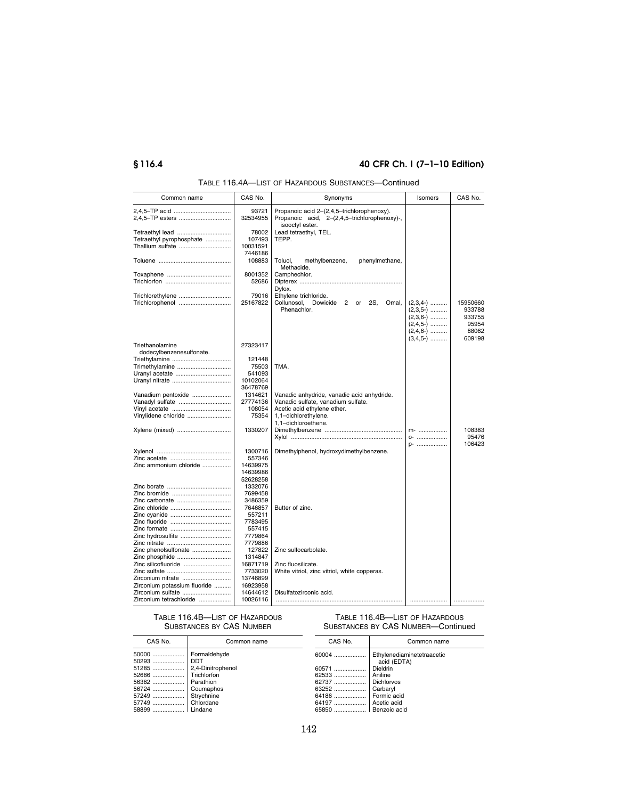# **§ 116.4 40 CFR Ch. I (7–1–10 Edition)**

| Common name                                                              | CAS No.                                     | Synonyms                                                                                                          | Isomers                                              | CAS No.                                        |
|--------------------------------------------------------------------------|---------------------------------------------|-------------------------------------------------------------------------------------------------------------------|------------------------------------------------------|------------------------------------------------|
|                                                                          | 93721<br>32534955                           | Propanoic acid 2-(2,4,5-trichlorophenoxy).<br>Propanoic acid, 2-(2,4,5-trichlorophenoxy)-,<br>isooctyl ester.     |                                                      |                                                |
| Tetraethyl lead<br>Tetraethyl pyrophosphate<br>Thallium sulfate          | 78002<br>107493<br>10031591                 | Lead tetraethyl, TEL.<br>TEPP.                                                                                    |                                                      |                                                |
|                                                                          | 7446186<br>108883                           | Toluol,<br>phenylmethane,<br>methylbenzene,                                                                       |                                                      |                                                |
|                                                                          | 8001352<br>52686                            | Methacide.<br>Camphechlor.                                                                                        |                                                      |                                                |
| Trichlorethylene<br>Trichlorophenol                                      | 79016<br>25167822                           | Dylox.<br>Ethylene trichloride.<br>Collunosol,<br>$\overline{2}$<br>Dowicide<br>or<br>2S,<br>Omal,<br>Phenachlor. | $(2,3,4-)$<br>$(2,3,5-)$<br>$(2,3,6-)$<br>$(2,4,5-)$ | 15950660<br>933788<br>933755<br>95954<br>88062 |
| Triethanolamine                                                          | 27323417                                    |                                                                                                                   | $(2,4,6)$<br>$(3,4,5-)$                              | 609198                                         |
| dodecylbenzenesulfonate.<br>Triethylamine<br>Trimethylamine              | 121448<br>75503<br>541093<br>10102064       | TMA.                                                                                                              |                                                      |                                                |
| Vanadium pentoxide<br>Vanadyl sulfate                                    | 36478769<br>1314621<br>27774136<br>108054   | Vanadic anhydride, vanadic acid anhydride.<br>Vanadic sulfate, vanadium sulfate.<br>Acetic acid ethylene ether.   |                                                      |                                                |
| Vinylidene chloride                                                      | 75354<br>1330207                            | 1,1-dichlorethylene.<br>1,1-dichloroethene.                                                                       | $m$ -<br>0-                                          | 108383<br>95476                                |
| Zinc ammonium chloride                                                   | 1300716<br>557346<br>14639975<br>14639986   | Dimethylphenol, hydroxydimethylbenzene.                                                                           | p-                                                   | 106423                                         |
| Zinc carbonate                                                           | 52628258<br>1332076<br>7699458<br>3486359   |                                                                                                                   |                                                      |                                                |
|                                                                          | 7646857<br>557211<br>7783495<br>557415      | Butter of zinc.                                                                                                   |                                                      |                                                |
| Zinc hydrosulfite<br>Zinc phenolsulfonate<br>Zinc phosphide              | 7779864<br>7779886<br>127822<br>1314847     | Zinc sulfocarbolate.                                                                                              |                                                      |                                                |
| Zinc silicofluoride<br>Zirconium nitrate<br>Zirconium potassium fluoride | 16871719<br>7733020<br>13746899<br>16923958 | Zinc fluosilicate.<br>White vitriol, zinc vitriol, white copperas.                                                |                                                      |                                                |
| Zirconium sulfate<br>Zirconium tetrachloride                             | 14644612<br>10026116                        | Disulfatozirconic acid.                                                                                           |                                                      |                                                |

# TABLE 116.4A—LIST OF HAZARDOUS SUBSTANCES—Continued

TABLE 116.4B—LIST OF HAZARDOUS SUBSTANCES BY CAS NUMBER

| CAS No.                                                              | Common name                                                                                                  |
|----------------------------------------------------------------------|--------------------------------------------------------------------------------------------------------------|
| 50000<br>50293<br>51285<br>52686<br>56382<br>56724<br>57249<br>57749 | Formaldehyde<br>DDT<br>2,4-Dinitrophenol<br>Trichlorfon<br>Parathion<br>Coumaphos<br>Strychnine<br>Chlordane |
| 58899                                                                | Lindane                                                                                                      |

### TABLE 116.4B—LIST OF HAZARDOUS SUBSTANCES BY CAS NUMBER—Continued

| CAS No.  | Common name                               |
|----------|-------------------------------------------|
| 60004    | Ethylenediaminetetraacetic<br>acid (EDTA) |
| 60571    | Dieldrin                                  |
| 62533    | Aniline                                   |
| 62737    | <b>Dichlorvos</b>                         |
| 63252    | Carbaryl                                  |
| 64186    | Formic acid                               |
| 64197    | Acetic acid                               |
| 65850  I | Benzoic acid                              |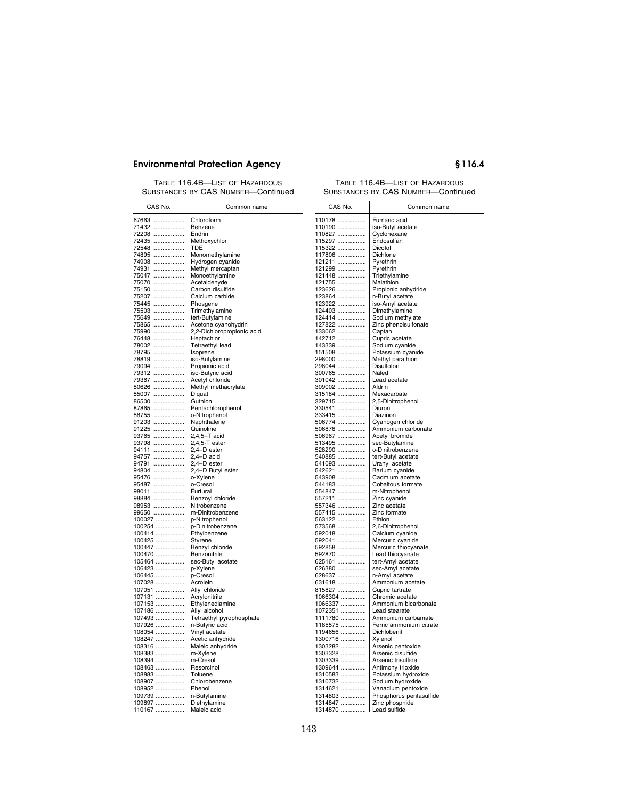TABLE 116.4B—LIST OF HAZARDOUS SUBSTANCES BY CAS NUMBER—Continued

Common name

### TABLE 116.4B—LIST OF HAZARDOUS SUBSTANCES BY CAS NUMBER—Continued

| CAS No.          | Common name                       | CAS No.          |           |
|------------------|-----------------------------------|------------------|-----------|
| 67663            | Chloroform                        | 110178           | Fu        |
| 71432            | Benzene                           | 110190           | isc       |
| 72208            | Endrin                            | 110827           | Cy        |
| 72435            | Methoxychlor                      | 115297           | Er        |
| 72548            | TDE                               | 115322           | Di        |
| 74895            | Monomethylamine                   | 117806           | Di        |
| 74908            | Hydrogen cyanide                  | 121211           | Py        |
| 74931            | Methyl mercaptan                  | 121299           | Py        |
| 75047            | Monoethylamine                    | 121448           | Tri       |
| 75070            | Acetaldehyde                      | 121755           | Ma        |
| 75150            | Carbon disulfide                  | 123626           | Pr        |
| 75207<br>75445   | Calcium carbide                   | 123864           | $n-1$     |
| 75503            | Phosgene                          | 123922<br>124403 | isc<br>Di |
| 75649            | Trimethylamine<br>tert-Butylamine | 124414           | Sc        |
| 75865            | Acetone cyanohydrin               | 127822           | Zir       |
| 75990            | 2,2-Dichloropropionic acid        | 133062           | Cε        |
| 76448            | Heptachlor                        | 142712           | Cι        |
| 78002            | Tetraethyl lead                   | 143339           | Sc        |
| 78795            | Isoprene                          | 151508           | Pc        |
| 78819            | iso-Butylamine                    | 298000           | Mε        |
| 79094            | Propionic acid                    | 298044           | Di:       |
| 79312            | iso-Butyric acid                  | 300765           | Nε        |
| 79367            | Acetyl chloride                   | 301042           | Le        |
| 80626            | Methyl methacrylate               | 309002           | Al        |
| 85007            | Diguat                            | 315184           | Mε        |
| 86500            | Guthion                           | 329715           | 2,5       |
| 87865            | Pentachlorophenol                 | 330541           | Di        |
| 88755            | o-Nitrophenol                     | 333415           | Di        |
| 91203            | Naphthalene<br>Quinoline          | 506774           | Сy        |
| 91225            | 2,4,5-T acid                      | 506876           | An<br>Ac  |
| 93765<br>93798   | $2,4,5$ -Tester                   | 506967<br>513495 | se        |
| 94111            | 2,4-D ester                       | 528290           | $O-I$     |
| 94757            | $2,4-D$ acid                      | 540885           | ter       |
| 94791            | 2,4-D ester                       | 541093           | Ur        |
| 94804            | 2,4-D Butyl ester                 | 542621           | Ba        |
| 95476            | o-Xylene                          | 543908           | Cε        |
| 95487            | o-Cresol                          | 544183           | Сc        |
| 98011            | Furfural                          | 554847           | m-        |
| 98884            | Benzoyl chloride                  | 557211           | Zir       |
| 98953            | Nitrobenzene                      | 557346           | Zir       |
| 99650            | m-Dinitrobenzene                  | 557415           | Zir       |
| 100027           | p-Nitrophenol                     | 563122           | Etl       |
| 100254           | p-Dinitrobenzene                  | 573568           | 2,6       |
| 100414           | Ethylbenzene                      | 592018           | Cε        |
| 100425           | Styrene                           | 592041           | Mε        |
| 100447<br>100470 | Benzyl chloride                   | 592858           | Mε<br>Le  |
|                  | Benzonitrile                      | 592870<br>625161 | ter       |
| 105464<br>106423 | sec-Butyl acetate<br>p-Xylene     | 626380           | se        |
| 106445           | p-Cresol                          | 628637           | $n - i$   |
| 107028           | Acrolein                          | 631618           | An        |
| 107051           | Allyl chloride                    | 815827           | Cι        |
| 107131           | Acrylonitrile                     | 1066304          | Cł        |
| 107153           | Ethylenediamine                   | 1066337          | An        |
| 107186           | Allyl alcohol                     | 1072351          | Le        |
| 107493           | Tetraethyl pyrophosphate          | 1111780          | An        |
| 107926           | n-Butyric acid                    | 1185575          | Fe        |
| 108054           | Vinyl acetate                     | 1194656          | Di        |
| 108247           | Acetic anhydride                  | 1300716          | Хy        |
| 108316           | Maleic anhydride                  | 1303282          | Ar        |
| 108383           | m-Xylene                          | 1303328          | Ar        |
| 108394           | m-Cresol                          | 1303339          | Ar        |
| 108463           | Resorcinol                        | 1309644          | Ar        |
| 108883           | Toluene                           | 1310583          | Pc        |
| 108907           | Chlorobenzene                     | 1310732          | Sc        |
| 108952           | Phenol                            | 1314621          | Va        |
| 109739           | n-Butylamine                      | 1314803          | Ph        |
| 109897           | Diethylamine                      | 1314847          | Zir       |
| 110167           | Maleic acid                       | 1314870          | Le        |

| 110178                      | Fumaric acid                         |
|-----------------------------|--------------------------------------|
| 110190<br>110827            | iso-Butyl acetate                    |
|                             | Cyclohexane                          |
| 115297                      | Endosulfan                           |
| 115322                      | Dicofol                              |
| 117806                      | Dichlone                             |
| 121211                      | Pyrethrin                            |
| 121299                      | Pyrethrin                            |
| 121448                      | Triethylamine<br>Malathion           |
| 121755<br>123626            | Propionic anhydride                  |
|                             | n-Butyl acetate                      |
| 123864<br>123922<br>123922  | iso-Amyl acetate                     |
| 124403                      | Dimethylamine                        |
| 124414                      | Sodium methylate                     |
| 127822                      | Zinc phenolsulfonate                 |
| 133062                      | Captan                               |
| 142712                      | Cupric acetate                       |
| 143339                      | Sodium cyanide                       |
| 151508                      | Potassium cyanide                    |
| 298000                      | Methyl parathion                     |
| =======<br>298044<br>300765 | Disulfoton                           |
| 301042                      | Naled<br>Lead acetate                |
| 309002                      | Aldrin                               |
| 315184                      | Mexacarbate                          |
| 329715                      | 2,5-Dinitrophenol                    |
| 330541                      | Diuron                               |
| 333415                      | Diazinon                             |
| 506774                      | Cyanogen chloride                    |
| 506876                      | Ammonium carbonate                   |
| 506967<br>513495            | Acetyl bromide                       |
|                             | sec-Butylamine                       |
| 528290                      | o-Dinitrobenzene                     |
| 540885                      | tert-Butyl acetate                   |
| 541093                      | Uranyl acetate                       |
| 542621<br>543908            | Barium cyanide                       |
| 544183                      | Cadmium acetate<br>Cobaltous formate |
|                             | m-Nitrophenol                        |
| 554847<br>557211            | Zinc cyanide                         |
| 557346                      | Zinc acetate                         |
| 557415                      | Zinc formate                         |
| 563122                      | Ethion                               |
| 573568                      | 2,6-Dinitrophenol                    |
| 592018                      | Calcium cyanide                      |
| 592041                      | Mercuric cyanide                     |
| 592858                      | Mercuric thiocyanate                 |
| 592870                      | Lead thiocyanate                     |
| 625161                      | tert-Amyl acetate                    |
| 626380                      | sec-Amyl acetate                     |
| 628637                      | n-Amyl acetate<br>Ammonium acetate   |
| 631618<br>815827            | Cupric tartrate                      |
| 1066304                     | Chromic acetate                      |
| 1066337                     | Ammonium bicarbonate                 |
| 1072351                     | Lead stearate                        |
| 1111780                     | Ammonium carbamate                   |
| 1185575                     | Ferric ammonium citrate              |
|                             | Dichlobenil                          |
| 1194656<br>1300716          | Xylenol                              |
| 1303282                     | Arsenic pentoxide                    |
| 1303328                     | Arsenic disulfide                    |
| 1303339                     | Arsenic trisulfide                   |
| 1309644                     | Antimony trioxide                    |
| 1310583                     | Potassium hydroxide                  |
| 1310732                     | Sodium hydroxide                     |
| 1314621                     | Vanadium pentoxide                   |
| $1314803$                   | Phosphorus pentasulfide              |
| 1314847<br>1314870          | Zinc phosphide                       |
|                             | Lead sulfide                         |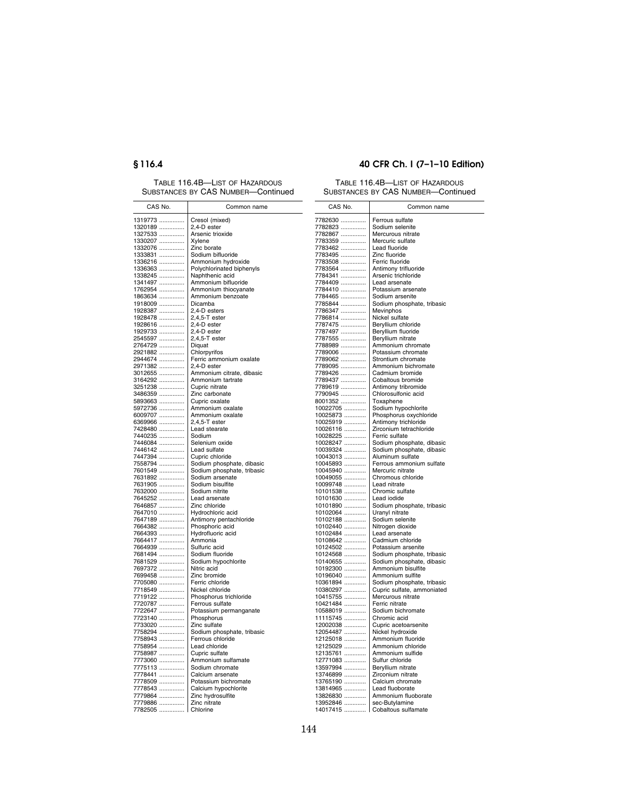TABLE 116.4B—LIST OF HAZARDOUS SUBSTANCES BY CAS NUMBER—Continued

# **§ 116.4 40 CFR Ch. I (7–1–10 Edition)**

### TABLE 116.4B—LIST OF HAZARDOUS SUBSTANCES BY CAS NUMBER—Continued

| CAS No. | Common name                | CAS No.  | Common name                |
|---------|----------------------------|----------|----------------------------|
| 1319773 | Cresol (mixed)             | 7782630  | Ferrous sulfate            |
| 1320189 | 2,4-D ester                | 7782823  | Sodium selenite            |
| 1327533 | Arsenic trioxide           | 7782867  | Mercurous nitrate          |
| 1330207 | Xylene                     | 7783359  | Mercuric sulfate           |
| 1332076 | Zinc borate                | 7783462  | Lead fluoride              |
| 1333831 | Sodium bifluoride          | 7783495  | Zinc fluoride              |
| 1336216 | Ammonium hydroxide         | 7783508  | Ferric fluoride            |
| 1336363 | Polychlorinated biphenyls  | 7783564  | Antimony trifluoride       |
| 1338245 | Naphthenic acid            | 7784341  | Arsenic trichloride        |
| 1341497 | Ammonium bifluoride        | 7784409  | Lead arsenate              |
| 1762954 | Ammonium thiocyanate       | 7784410  | Potassium arsenate         |
| 1863634 | Ammonium benzoate          | 7784465  | Sodium arsenite            |
| 1918009 | Dicamba                    | 7785844  | Sodium phosphate, tribasic |
| 1928387 | 2,4-D esters               | 7786347  | Mevinphos                  |
| 1928478 | 2,4,5-T ester              | 7786814  | Nickel sulfate             |
| 1928616 | 2,4-D ester                | 7787475  | Beryllium chloride         |
| 1929733 | 2,4-D ester                | 7787497  | Beryllium fluoride         |
| 2545597 | $2,4,5$ -Tester            | 7787555  | Beryllium nitrate          |
| 2764729 | Diquat                     | 7788989  | Ammonium chromate          |
| 2921882 | Chlorpyrifos               | 7789006  | Potassium chromate         |
| 2944674 | Ferric ammonium oxalate    | 7789062  | Strontium chromate         |
| 2971382 | 2.4-D ester                | 7789095  | Ammonium bichromate        |
| 3012655 | Ammonium citrate, dibasic  | 7789426  | Cadmium bromide            |
| 3164292 | Ammonium tartrate          | 7789437  | Cobaltous bromide          |
| 3251238 | Cupric nitrate             | 7789619  | Antimony tribromide        |
| 3486359 | Zinc carbonate             | 7790945  | Chlorosulfonic acid        |
| 5893663 | Cupric oxalate             | 8001352  | Toxaphene                  |
| 5972736 | Ammonium oxalate           | 10022705 | Sodium hypochlorite        |
| 6009707 | Ammonium oxalate           | 10025873 | Phosphorus oxychloride     |
| 6369966 | $2,4,5$ -Tester            | 10025919 | Antimony trichloride       |
| 7428480 | Lead stearate              | 10026116 | Zirconium tetrachloride    |
| 7440235 | Sodium                     | 10028225 | Ferric sulfate             |
| 7446084 | Selenium oxide             | 10028247 | Sodium phosphate, dibasic  |
| 7446142 | Lead sulfate               | 10039324 | Sodium phosphate, dibasic  |
| 7447394 | Cupric chloride            | 10043013 | Aluminum sulfate           |
| 7558794 | Sodium phosphate, dibasic  | 10045893 | Ferrous ammonium sulfate   |
| 7601549 | Sodium phosphate, tribasic | 10045940 | Mercuric nitrate           |
| 7631892 | Sodium arsenate            | 10049055 | Chromous chloride          |
| 7631905 | Sodium bisulfite           | 10099748 | Lead nitrate               |
| 7632000 | Sodium nitrite             | 10101538 | Chromic sulfate            |
| 7645252 | Lead arsenate              | 10101630 | Lead iodide                |
| 7646857 | Zinc chloride              | 10101890 | Sodium phosphate, tribasic |
| 7647010 | Hydrochloric acid          | 10102064 | Uranyl nitrate             |
| 7647189 | Antimony pentachloride     | 10102188 | Sodium selenite            |
| 7664382 | Phosphoric acid            | 10102440 | Nitrogen dioxide           |
| 7664393 | Hydrofluoric acid          | 10102484 | Lead arsenate              |
| 7664417 | Ammonia                    | 10108642 | Cadmium chloride           |
| 7664939 | Sulfuric acid              | 10124502 | Potassium arsenite         |
| 7681494 | Sodium fluoride            | 10124568 | Sodium phosphate, tribasic |
| 7681529 | Sodium hypochlorite        | 10140655 | Sodium phosphate, dibasic  |
| 7697372 | Nitric acid                | 10192300 | Ammonium bisulfite         |
| 7699458 | Zinc bromide               | 10196040 | Ammonium sulfite           |
| 7705080 | Ferric chloride            | 10361894 | Sodium phosphate, tribasic |
| 7718549 | Nickel chloride            | 10380297 | Cupric sulfate, ammoniated |
| 7719122 | Phosphorus trichloride     | 10415755 | Mercurous nitrate          |
| 7720787 | Ferrous sulfate            | 10421484 | Ferric nitrate             |
| 7722647 | Potassium permanganate     | 10588019 | Sodium bichromate          |
| 7723140 | Phosphorus                 | 11115745 | Chromic acid               |
| 7733020 | Zinc sulfate               | 12002038 | Cupric acetoarsenite       |
| 7758294 | Sodium phosphate, tribasic | 12054487 | Nickel hydroxide           |
| 7758943 | Ferrous chloride           | 12125018 | Ammonium fluoride          |
| 7758954 | Lead chloride              | 12125029 | Ammonium chloride          |
| 7758987 | Cupric sulfate             | 12135761 | Ammonium sulfide           |
| 7773060 | Ammonium sulfamate         | 12771083 | Sulfur chloride            |
| 7775113 | Sodium chromate            | 13597994 | Beryllium nitrate          |
| 7778441 | Calcium arsenate           | 13746899 | Zirconium nitrate          |
| 7778509 | Potassium bichromate       | 13765190 | Calcium chromate           |
| 7778543 | Calcium hypochlorite       | 13814965 | Lead fluoborate            |
| 7779864 | Zinc hydrosulfite          | 13826830 | Ammonium fluoborate        |
| 7779886 | Zinc nitrate               | 13952846 | sec-Butylamine             |
| 7782505 | Chlorine                   | 14017415 | Cobaltous sulfamate        |
|         |                            |          |                            |